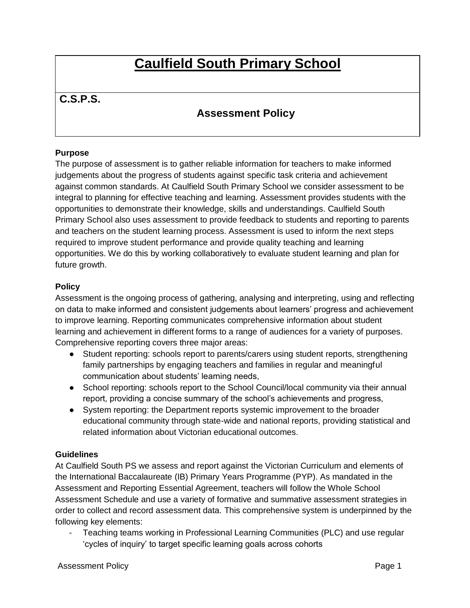# **Caulfield South Primary School**

# **C.S.P.S.**

# **Assessment Policy**

# **Purpose**

The purpose of assessment is to gather reliable information for teachers to make informed judgements about the progress of students against specific task criteria and achievement against common standards. At Caulfield South Primary School we consider assessment to be integral to planning for effective teaching and learning. Assessment provides students with the opportunities to demonstrate their knowledge, skills and understandings. Caulfield South Primary School also uses assessment to provide feedback to students and reporting to parents and teachers on the student learning process. Assessment is used to inform the next steps required to improve student performance and provide quality teaching and learning opportunities. We do this by working collaboratively to evaluate student learning and plan for future growth.

# **Policy**

Assessment is the ongoing process of gathering, analysing and interpreting, using and reflecting on data to make informed and consistent judgements about learners' progress and achievement to improve learning. Reporting communicates comprehensive information about student learning and achievement in different forms to a range of audiences for a variety of purposes. Comprehensive reporting covers three major areas:

- Student reporting: schools report to parents/carers using student reports, strengthening family partnerships by engaging teachers and families in regular and meaningful communication about students' learning needs,
- School reporting: schools report to the School Council/local community via their annual report, providing a concise summary of the school's achievements and progress,
- System reporting: the Department reports systemic improvement to the broader educational community through state-wide and national reports, providing statistical and related information about Victorian educational outcomes.

# **Guidelines**

At Caulfield South PS we assess and report against the Victorian Curriculum and elements of the International Baccalaureate (IB) Primary Years Programme (PYP). As mandated in the Assessment and Reporting Essential Agreement, teachers will follow the Whole School Assessment Schedule and use a variety of formative and summative assessment strategies in order to collect and record assessment data. This comprehensive system is underpinned by the following key elements:

- Teaching teams working in Professional Learning Communities (PLC) and use regular 'cycles of inquiry' to target specific learning goals across cohorts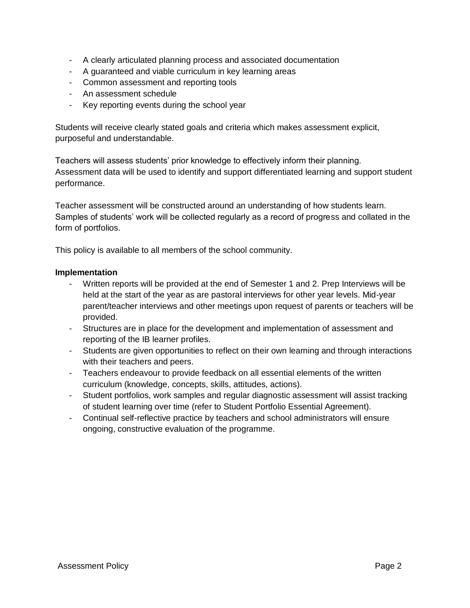- A clearly articulated planning process and associated documentation
- A guaranteed and viable curriculum in key learning areas
- Common assessment and reporting tools
- An assessment schedule
- Key reporting events during the school year

Students will receive clearly stated goals and criteria which makes assessment explicit, purposeful and understandable.

Teachers will assess students' prior knowledge to effectively inform their planning. Assessment data will be used to identify and support differentiated learning and support student performance.

Teacher assessment will be constructed around an understanding of how students learn. Samples of students' work will be collected regularly as a record of progress and collated in the form of portfolios.

This policy is available to all members of the school community.

### **Implementation**

- Written reports will be provided at the end of Semester 1 and 2. Prep Interviews will be held at the start of the year as are pastoral interviews for other year levels. Mid-year parent/teacher interviews and other meetings upon request of parents or teachers will be provided.
- Structures are in place for the development and implementation of assessment and reporting of the IB learner profiles.
- Students are given opportunities to reflect on their own learning and through interactions with their teachers and peers.
- Teachers endeavour to provide feedback on all essential elements of the written curriculum (knowledge, concepts, skills, attitudes, actions).
- Student portfolios, work samples and regular diagnostic assessment will assist tracking of student learning over time (refer to Student Portfolio Essential Agreement).
- Continual self-reflective practice by teachers and school administrators will ensure ongoing, constructive evaluation of the programme.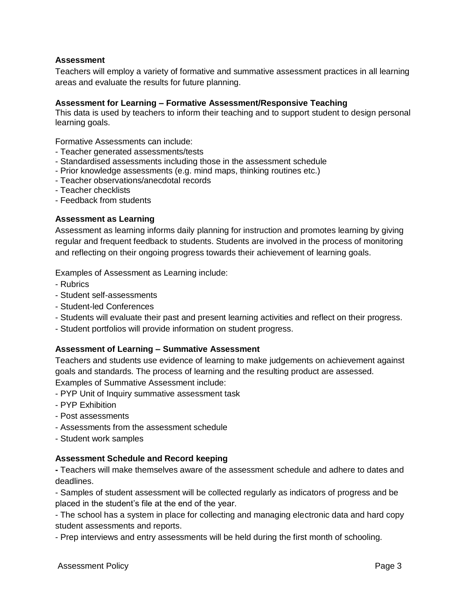#### **Assessment**

Teachers will employ a variety of formative and summative assessment practices in all learning areas and evaluate the results for future planning.

#### **Assessment for Learning – Formative Assessment/Responsive Teaching**

This data is used by teachers to inform their teaching and to support student to design personal learning goals.

Formative Assessments can include:

- Teacher generated assessments/tests
- Standardised assessments including those in the assessment schedule
- Prior knowledge assessments (e.g. mind maps, thinking routines etc.)
- Teacher observations/anecdotal records
- Teacher checklists
- Feedback from students

# **Assessment as Learning**

Assessment as learning informs daily planning for instruction and promotes learning by giving regular and frequent feedback to students. Students are involved in the process of monitoring and reflecting on their ongoing progress towards their achievement of learning goals.

Examples of Assessment as Learning include:

- Rubrics
- Student self-assessments
- Student-led Conferences
- Students will evaluate their past and present learning activities and reflect on their progress.
- Student portfolios will provide information on student progress.

# **Assessment of Learning – Summative Assessment**

Teachers and students use evidence of learning to make judgements on achievement against goals and standards. The process of learning and the resulting product are assessed. Examples of Summative Assessment include:

- PYP Unit of Inquiry summative assessment task
- PYP Exhibition
- Post assessments
- Assessments from the assessment schedule
- Student work samples

#### **Assessment Schedule and Record keeping**

**-** Teachers will make themselves aware of the assessment schedule and adhere to dates and deadlines.

- Samples of student assessment will be collected regularly as indicators of progress and be placed in the student's file at the end of the year.

- The school has a system in place for collecting and managing electronic data and hard copy student assessments and reports.

- Prep interviews and entry assessments will be held during the first month of schooling.